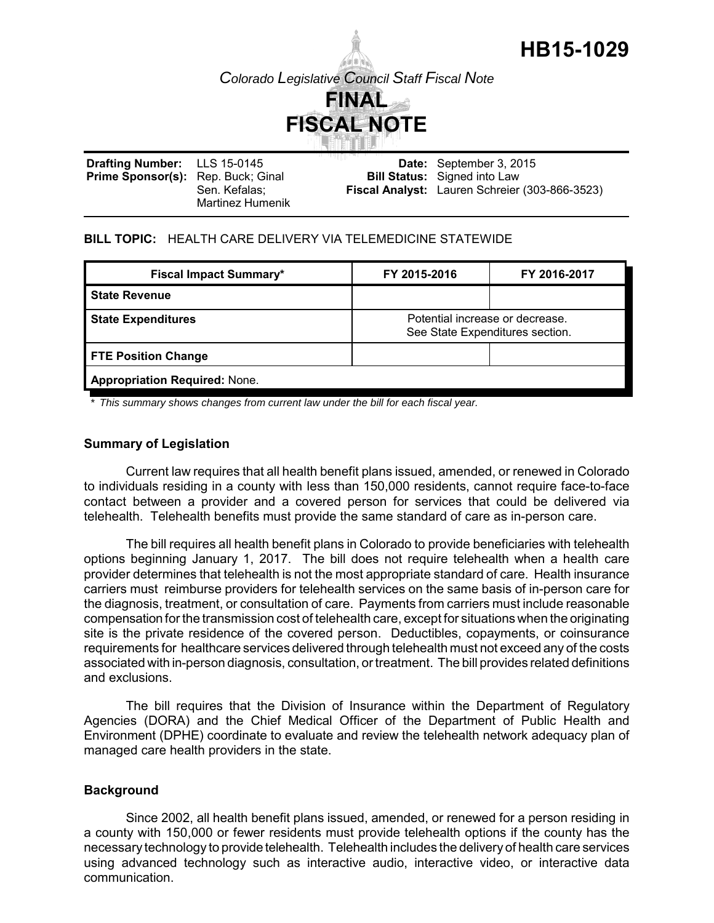

*Colorado Legislative Council Staff Fiscal Note*



**Drafting Number:** Prime Sponsor(s): Rep. Buck; Ginal LLS 15-0145 Sen. Kefalas; Martinez Humenik **Date:** September 3, 2015 **Bill Status:** Signed into Law **Fiscal Analyst:** Lauren Schreier (303-866-3523)

## **BILL TOPIC:** HEALTH CARE DELIVERY VIA TELEMEDICINE STATEWIDE

| <b>Fiscal Impact Summary*</b>        | FY 2015-2016                                                       | FY 2016-2017 |
|--------------------------------------|--------------------------------------------------------------------|--------------|
| <b>State Revenue</b>                 |                                                                    |              |
| <b>State Expenditures</b>            | Potential increase or decrease.<br>See State Expenditures section. |              |
| <b>FTE Position Change</b>           |                                                                    |              |
| <b>Appropriation Required: None.</b> |                                                                    |              |

*\* This summary shows changes from current law under the bill for each fiscal year.* 

### **Summary of Legislation**

Current law requires that all health benefit plans issued, amended, or renewed in Colorado to individuals residing in a county with less than 150,000 residents, cannot require face-to-face contact between a provider and a covered person for services that could be delivered via telehealth. Telehealth benefits must provide the same standard of care as in-person care.

The bill requires all health benefit plans in Colorado to provide beneficiaries with telehealth options beginning January 1, 2017. The bill does not require telehealth when a health care provider determines that telehealth is not the most appropriate standard of care. Health insurance carriers must reimburse providers for telehealth services on the same basis of in-person care for the diagnosis, treatment, or consultation of care. Payments from carriers must include reasonable compensation for the transmission cost of telehealth care, except for situations when the originating site is the private residence of the covered person. Deductibles, copayments, or coinsurance requirements for healthcare services delivered through telehealth must not exceed any of the costs associated with in-person diagnosis, consultation, or treatment. The bill provides related definitions and exclusions.

The bill requires that the Division of Insurance within the Department of Regulatory Agencies (DORA) and the Chief Medical Officer of the Department of Public Health and Environment (DPHE) coordinate to evaluate and review the telehealth network adequacy plan of managed care health providers in the state.

### **Background**

Since 2002, all health benefit plans issued, amended, or renewed for a person residing in a county with 150,000 or fewer residents must provide telehealth options if the county has the necessary technology to provide telehealth. Telehealth includes the delivery of health care services using advanced technology such as interactive audio, interactive video, or interactive data communication.